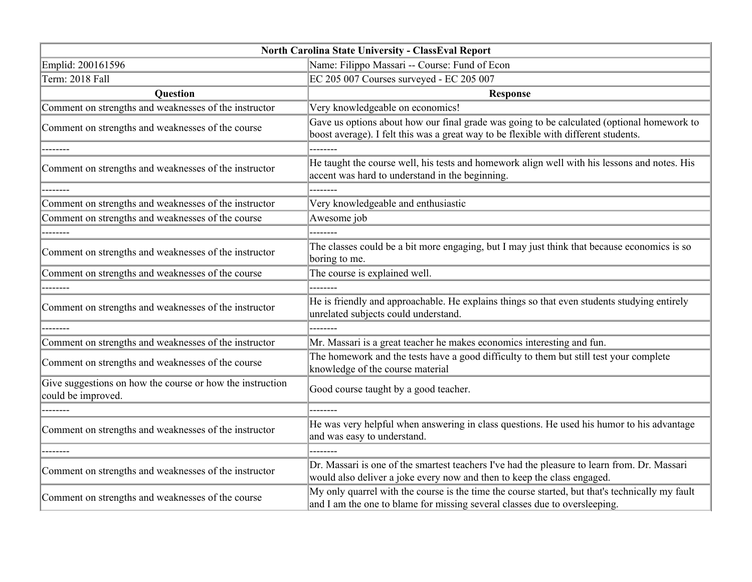| North Carolina State University - ClassEval Report                              |                                                                                                                                                                                   |
|---------------------------------------------------------------------------------|-----------------------------------------------------------------------------------------------------------------------------------------------------------------------------------|
| Emplid: 200161596                                                               | Name: Filippo Massari -- Course: Fund of Econ                                                                                                                                     |
| Term: 2018 Fall                                                                 | EC 205 007 Courses surveyed - EC 205 007                                                                                                                                          |
| <b>Question</b>                                                                 | <b>Response</b>                                                                                                                                                                   |
| Comment on strengths and weaknesses of the instructor                           | Very knowledgeable on economics!                                                                                                                                                  |
| Comment on strengths and weaknesses of the course                               | Gave us options about how our final grade was going to be calculated (optional homework to<br>boost average). I felt this was a great way to be flexible with different students. |
|                                                                                 |                                                                                                                                                                                   |
| Comment on strengths and weaknesses of the instructor                           | He taught the course well, his tests and homework align well with his lessons and notes. His<br>accent was hard to understand in the beginning.                                   |
|                                                                                 |                                                                                                                                                                                   |
| Comment on strengths and weaknesses of the instructor                           | Very knowledgeable and enthusiastic                                                                                                                                               |
| Comment on strengths and weaknesses of the course                               | Awesome job                                                                                                                                                                       |
|                                                                                 |                                                                                                                                                                                   |
| Comment on strengths and weaknesses of the instructor                           | The classes could be a bit more engaging, but I may just think that because economics is so<br>boring to me.                                                                      |
| Comment on strengths and weaknesses of the course                               | The course is explained well.                                                                                                                                                     |
|                                                                                 |                                                                                                                                                                                   |
| Comment on strengths and weaknesses of the instructor                           | He is friendly and approachable. He explains things so that even students studying entirely<br>unrelated subjects could understand.                                               |
|                                                                                 |                                                                                                                                                                                   |
| Comment on strengths and weaknesses of the instructor                           | Mr. Massari is a great teacher he makes economics interesting and fun.                                                                                                            |
| Comment on strengths and weaknesses of the course                               | The homework and the tests have a good difficulty to them but still test your complete<br>knowledge of the course material                                                        |
| Give suggestions on how the course or how the instruction<br>could be improved. | Good course taught by a good teacher.                                                                                                                                             |
|                                                                                 | --------                                                                                                                                                                          |
| Comment on strengths and weaknesses of the instructor                           | He was very helpful when answering in class questions. He used his humor to his advantage<br>and was easy to understand.                                                          |
|                                                                                 |                                                                                                                                                                                   |
| Comment on strengths and weaknesses of the instructor                           | Dr. Massari is one of the smartest teachers I've had the pleasure to learn from. Dr. Massari<br>would also deliver a joke every now and then to keep the class engaged.           |
| Comment on strengths and weaknesses of the course                               | My only quarrel with the course is the time the course started, but that's technically my fault<br>and I am the one to blame for missing several classes due to oversleeping.     |